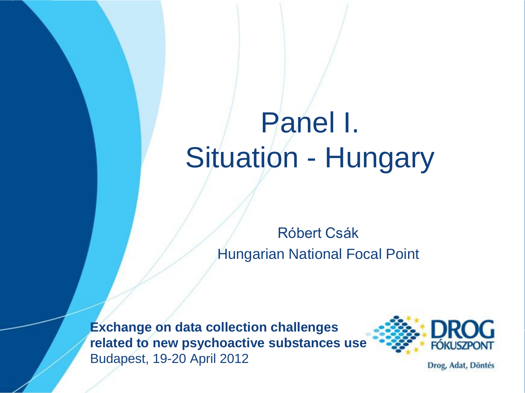# Panel I. Situation - Hungary

Róbert Csák Hungarian National Focal Point

**Exchange on data collection challenges related to new psychoactive substances use** Budapest, 19-20 April 2012



Drog, Adat, Döntés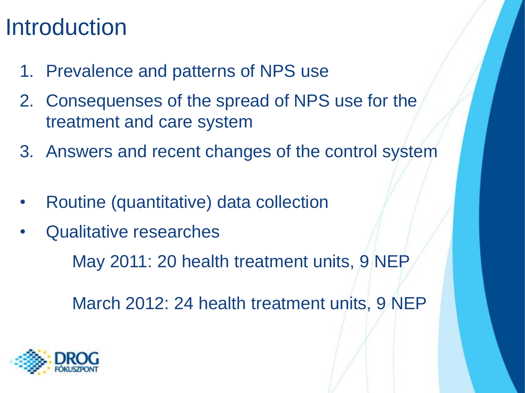#### **Introduction**

- 1. Prevalence and patterns of NPS use
- 2. Consequenses of the spread of NPS use for the treatment and care system
- 3. Answers and recent changes of the control system
- Routine (quantitative) data collection
- Qualitative researches

May 2011: 20 health treatment units, 9 NEP

March 2012: 24 health treatment units, 9 NEP

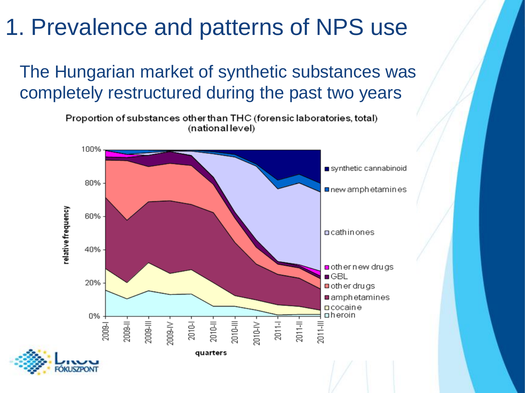The Hungarian market of synthetic substances was completely restructured during the past two years

> Proportion of substances other than THC (forensic laboratories, total) (national level)

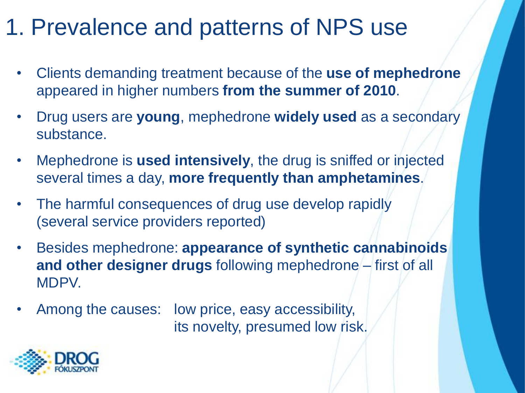- Clients demanding treatment because of the **use of mephedrone**  appeared in higher numbers **from the summer of 2010**.
- Drug users are **young**, mephedrone **widely used** as a secondary substance.
- Mephedrone is **used intensively**, the drug is sniffed or injected several times a day, **more frequently than amphetamines**.
- The harmful consequences of drug use develop rapidly (several service providers reported)
- Besides mephedrone: **appearance of synthetic cannabinoids and other designer drugs** following mephedrone – first of all MDPV.
- Among the causes: low price, easy accessibility, its novelty, presumed low risk.

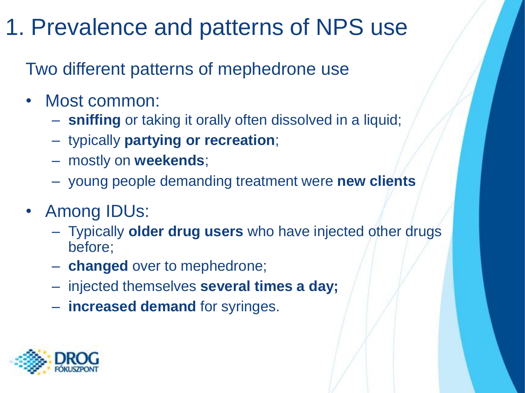Two different patterns of mephedrone use

- Most common:
	- **sniffing** or taking it orally often dissolved in a liquid;
	- typically **partying or recreation**;
	- mostly on **weekends**;
	- young people demanding treatment were **new clients**
- Among IDUs:
	- Typically **older drug users** who have injected other drugs before;
	- **changed** over to mephedrone;
	- injected themselves **several times a day;**
	- **increased demand** for syringes.

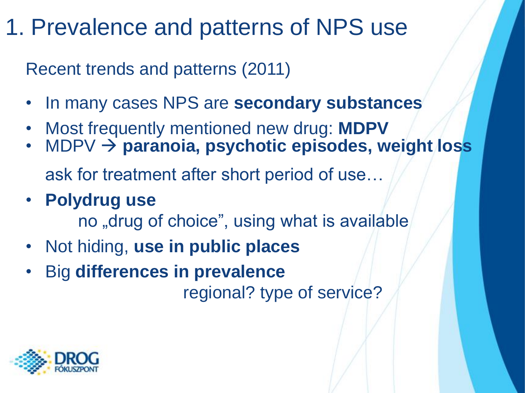Recent trends and patterns (2011)

- In many cases NPS are **secondary substances**
- Most frequently mentioned new drug: **MDPV**
- MDPV  $\rightarrow$  paranoia, psychotic episodes, weight loss ask for treatment after short period of use…
- **Polydrug use**

no "drug of choice", using what is available

- Not hiding, **use in public places**
- Big **differences in prevalence**

regional? type of service?

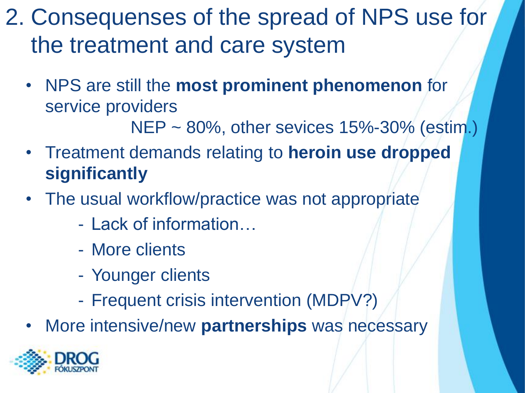- 2. Consequenses of the spread of NPS use for the treatment and care system
	- NPS are still the **most prominent phenomenon** for service providers

NEP ~ 80%, other sevices 15%-30% (estim.)

- Treatment demands relating to **heroin use dropped significantly**
- The usual workflow/practice was not appropriate
	- Lack of information…
	- More clients
	- Younger clients
	- Frequent crisis intervention (MDPV?)
- More intensive/new **partnerships** was necessary

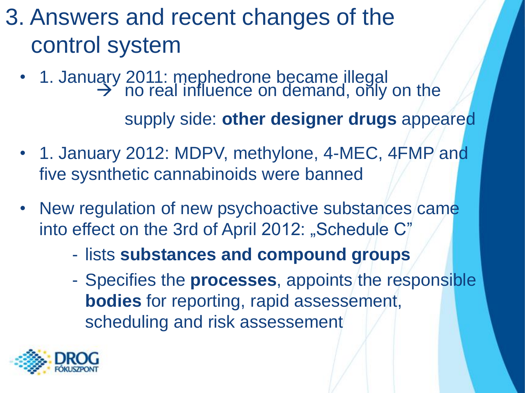### 3. Answers and recent changes of the control system

- 1. January 2011: mephedrone became illegal  $\rightarrow$  no real influence on demand, only on the supply side: **other designer drugs** appeared
- 1. January 2012: MDPV, methylone, 4-MEC, 4FMP and five sysnthetic cannabinoids were banned
- New regulation of new psychoactive substances came into effect on the 3rd of April 2012: "Schedule C"
	- lists **substances and compound groups**
	- Specifies the **processes**, appoints the responsible **bodies** for reporting, rapid assessement, scheduling and risk assessement

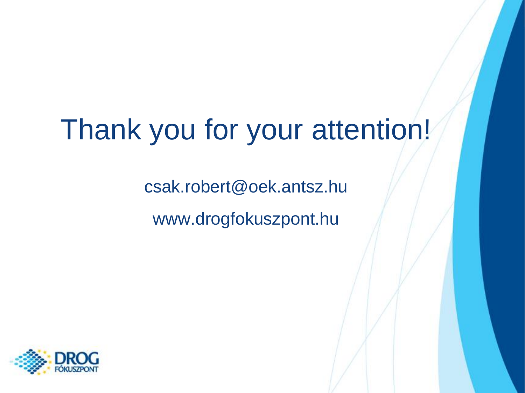## Thank you for your attention!

csak.robert@oek.antsz.hu www.drogfokuszpont.hu